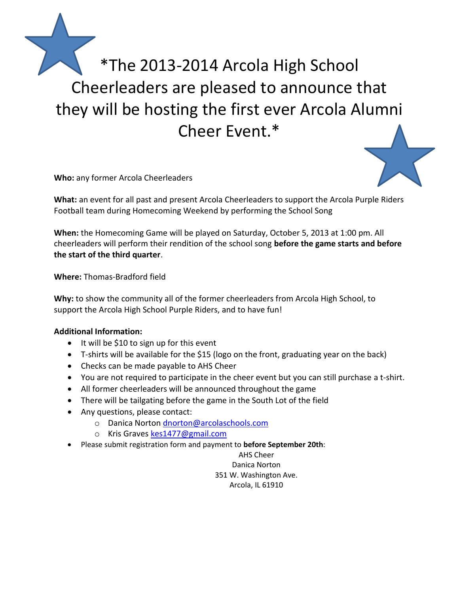

**Who:** any former Arcola Cheerleaders

**What:** an event for all past and present Arcola Cheerleaders to support the Arcola Purple Riders Football team during Homecoming Weekend by performing the School Song

**When:** the Homecoming Game will be played on Saturday, October 5, 2013 at 1:00 pm. All cheerleaders will perform their rendition of the school song **before the game starts and before the start of the third quarter**.

**Where:** Thomas-Bradford field

**Why:** to show the community all of the former cheerleaders from Arcola High School, to support the Arcola High School Purple Riders, and to have fun!

## **Additional Information:**

- $\bullet$  It will be \$10 to sign up for this event
- T-shirts will be available for the \$15 (logo on the front, graduating year on the back)
- Checks can be made payable to AHS Cheer
- You are not required to participate in the cheer event but you can still purchase a t-shirt.
- All former cheerleaders will be announced throughout the game
- There will be tailgating before the game in the South Lot of the field
- Any questions, please contact:
	- o Danica Norton [dnorton@arcolaschools.com](mailto:dnorton@arcolaschools.com)
	- o Kris Graves [kes1477@gmail.com](mailto:kes1477@gmail.com)
- Please submit registration form and payment to **before September 20th**:

AHS Cheer Danica Norton 351 W. Washington Ave. Arcola, IL 61910